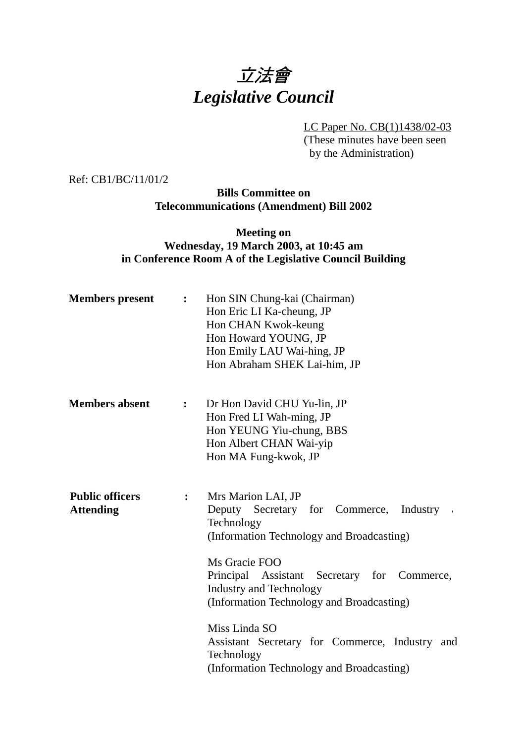# 立法會 *Legislative Council*

LC Paper No. CB(1)1438/02-03 (These minutes have been seen by the Administration)

Ref: CB1/BC/11/01/2

**Bills Committee on Telecommunications (Amendment) Bill 2002**

#### **Meeting on Wednesday, 19 March 2003, at 10:45 am in Conference Room A of the Legislative Council Building**

| <b>Members</b> present                     | :              | Hon SIN Chung-kai (Chairman)<br>Hon Eric LI Ka-cheung, JP<br>Hon CHAN Kwok-keung<br>Hon Howard YOUNG, JP<br>Hon Emily LAU Wai-hing, JP<br>Hon Abraham SHEK Lai-him, JP                                                                                                                                                                                             |
|--------------------------------------------|----------------|--------------------------------------------------------------------------------------------------------------------------------------------------------------------------------------------------------------------------------------------------------------------------------------------------------------------------------------------------------------------|
| <b>Members absent</b>                      | $\ddot{\cdot}$ | Dr Hon David CHU Yu-lin, JP<br>Hon Fred LI Wah-ming, JP<br>Hon YEUNG Yiu-chung, BBS<br>Hon Albert CHAN Wai-yip<br>Hon MA Fung-kwok, JP                                                                                                                                                                                                                             |
| <b>Public officers</b><br><b>Attending</b> | $\mathbf{L}$   | Mrs Marion LAI, JP<br>Deputy Secretary for Commerce, Industry<br>$\sim$<br>Technology<br>(Information Technology and Broadcasting)<br>Ms Gracie FOO<br>Principal Assistant Secretary for Commerce,<br><b>Industry and Technology</b><br>(Information Technology and Broadcasting)<br>Miss Linda SO<br>Assistant Secretary for Commerce, Industry and<br>Technology |
|                                            |                | (Information Technology and Broadcasting)                                                                                                                                                                                                                                                                                                                          |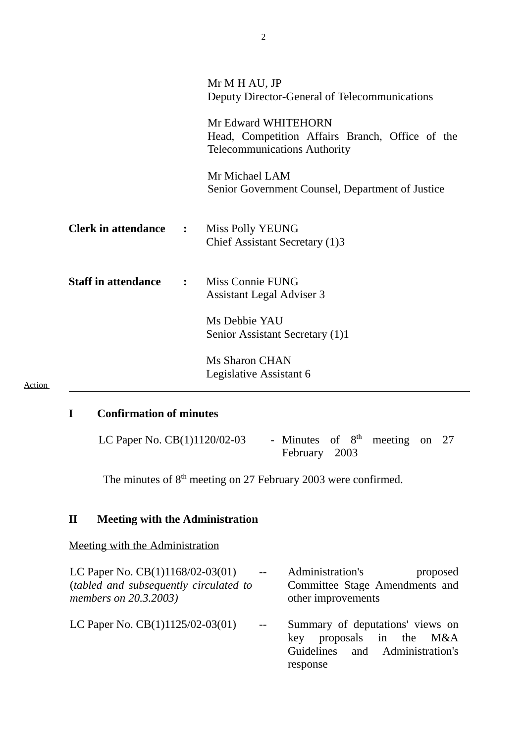|                              |              | Mr M H AU, JP<br>Deputy Director-General of Telecommunications                                                                                                                      |
|------------------------------|--------------|-------------------------------------------------------------------------------------------------------------------------------------------------------------------------------------|
|                              |              | Mr Edward WHITEHORN<br>Head, Competition Affairs Branch, Office of the<br><b>Telecommunications Authority</b><br>Mr Michael LAM<br>Senior Government Counsel, Department of Justice |
| <b>Clerk in attendance :</b> |              | <b>Miss Polly YEUNG</b><br>Chief Assistant Secretary (1)3                                                                                                                           |
| <b>Staff in attendance</b>   | $\mathbf{r}$ | Miss Connie FUNG<br><b>Assistant Legal Adviser 3</b><br>Ms Debbie YAU<br>Senior Assistant Secretary (1)1                                                                            |
|                              |              | <b>Ms Sharon CHAN</b><br>Legislative Assistant 6                                                                                                                                    |

## **I Confirmation of minutes**

**Action** 

| LC Paper No. CB(1)1120/02-03 | - Minutes of $8th$ meeting on 27 |  |  |  |
|------------------------------|----------------------------------|--|--|--|
|                              | February 2003                    |  |  |  |

The minutes of  $8<sup>th</sup>$  meeting on 27 February 2003 were confirmed.

# **II Meeting with the Administration**

Meeting with the Administration

| LC Paper No. CB(1)1168/02-03(01)                                | $-$                             | Administration's<br>proposed                                                                                |  |
|-----------------------------------------------------------------|---------------------------------|-------------------------------------------------------------------------------------------------------------|--|
| (tabled and subsequently circulated to<br>members on 20.3.2003) |                                 | Committee Stage Amendments and<br>other improvements                                                        |  |
| LC Paper No. CB(1)1125/02-03(01)                                | $\frac{1}{2}$ and $\frac{1}{2}$ | Summary of deputations' views on<br>key proposals in the M&A<br>Guidelines and Administration's<br>response |  |

2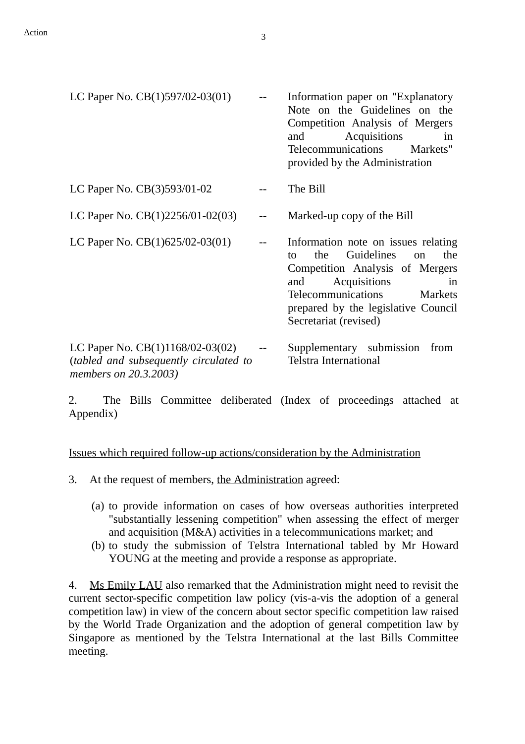| LC Paper No. $CB(1)597/02-03(01)$                                                                     | Information paper on "Explanatory"<br>Note on the Guidelines on the<br>Competition Analysis of Mergers<br>Acquisitions<br>and<br>in<br>Telecommunications<br>Markets"<br>provided by the Administration                                                 |
|-------------------------------------------------------------------------------------------------------|---------------------------------------------------------------------------------------------------------------------------------------------------------------------------------------------------------------------------------------------------------|
| LC Paper No. CB(3)593/01-02                                                                           | The Bill                                                                                                                                                                                                                                                |
| LC Paper No. $CB(1)2256/01-02(03)$                                                                    | Marked-up copy of the Bill                                                                                                                                                                                                                              |
| LC Paper No. $CB(1)625/02-03(01)$                                                                     | Information note on issues relating<br>Guidelines<br>the<br>the<br>tο<br><sub>on</sub><br>Competition Analysis of Mergers<br>Acquisitions<br>and<br>in<br>Telecommunications<br>Markets<br>prepared by the legislative Council<br>Secretariat (revised) |
| LC Paper No. $CB(1)1168/02-03(02)$<br>(tabled and subsequently circulated to<br>members on 20.3.2003) | Supplementary submission<br>from<br><b>Telstra International</b>                                                                                                                                                                                        |

2. The Bills Committee deliberated (Index of proceedings attached at Appendix)

Issues which required follow-up actions/consideration by the Administration

3. At the request of members, the Administration agreed:

- (a) to provide information on cases of how overseas authorities interpreted "substantially lessening competition" when assessing the effect of merger and acquisition (M&A) activities in a telecommunications market; and
- (b) to study the submission of Telstra International tabled by Mr Howard YOUNG at the meeting and provide a response as appropriate.

4. Ms Emily LAU also remarked that the Administration might need to revisit the current sector-specific competition law policy (vis-a-vis the adoption of a general competition law) in view of the concern about sector specific competition law raised by the World Trade Organization and the adoption of general competition law by Singapore as mentioned by the Telstra International at the last Bills Committee meeting.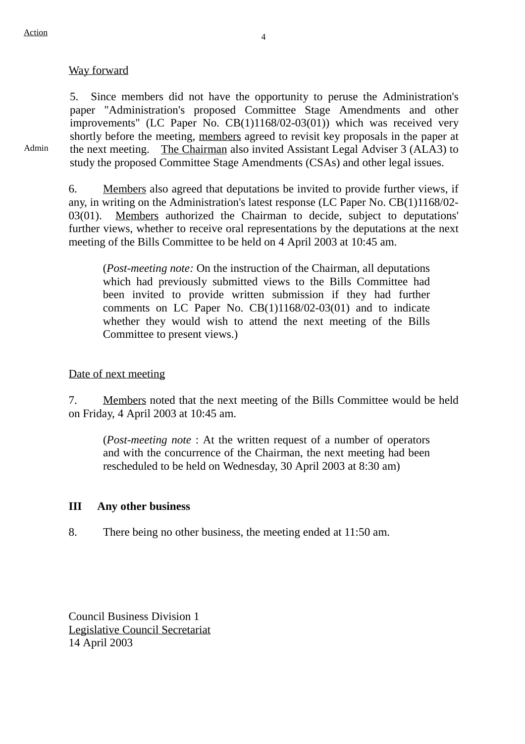#### Way forward

5. Since members did not have the opportunity to peruse the Administration's paper "Administration's proposed Committee Stage Amendments and other improvements" (LC Paper No. CB(1)1168/02-03(01)) which was received very shortly before the meeting, members agreed to revisit key proposals in the paper at the next meeting. The Chairman also invited Assistant Legal Adviser 3 (ALA3) to study the proposed Committee Stage Amendments (CSAs) and other legal issues.

Admin

6. Members also agreed that deputations be invited to provide further views, if any, in writing on the Administration's latest response (LC Paper No. CB(1)1168/02- 03(01). Members authorized the Chairman to decide, subject to deputations' further views, whether to receive oral representations by the deputations at the next meeting of the Bills Committee to be held on 4 April 2003 at 10:45 am.

(*Post-meeting note:* On the instruction of the Chairman, all deputations which had previously submitted views to the Bills Committee had been invited to provide written submission if they had further comments on LC Paper No. CB(1)1168/02-03(01) and to indicate whether they would wish to attend the next meeting of the Bills Committee to present views.)

#### Date of next meeting

7. Members noted that the next meeting of the Bills Committee would be held on Friday, 4 April 2003 at 10:45 am.

(*Post-meeting note* : At the written request of a number of operators and with the concurrence of the Chairman, the next meeting had been rescheduled to be held on Wednesday, 30 April 2003 at 8:30 am)

#### **III Any other business**

8. There being no other business, the meeting ended at 11:50 am.

Council Business Division 1 Legislative Council Secretariat 14 April 2003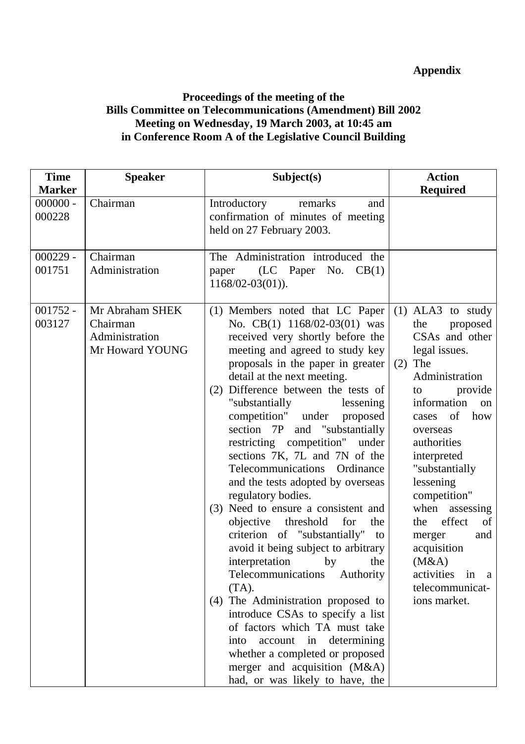### **Appendix**

#### **Proceedings of the meeting of the Bills Committee on Telecommunications (Amendment) Bill 2002 Meeting on Wednesday, 19 March 2003, at 10:45 am in Conference Room A of the Legislative Council Building**

| <b>Time</b>          | <b>Speaker</b>                                                   | Subject(s)                                                                                                                                                                                                                                                                                                                                                                                                                                                                                                                                                                                                                                                                                                                                                                                                                                                                                                                                                                                                    | <b>Action</b>                                                                                                                                                                                                                                                                                                                                                                                      |
|----------------------|------------------------------------------------------------------|---------------------------------------------------------------------------------------------------------------------------------------------------------------------------------------------------------------------------------------------------------------------------------------------------------------------------------------------------------------------------------------------------------------------------------------------------------------------------------------------------------------------------------------------------------------------------------------------------------------------------------------------------------------------------------------------------------------------------------------------------------------------------------------------------------------------------------------------------------------------------------------------------------------------------------------------------------------------------------------------------------------|----------------------------------------------------------------------------------------------------------------------------------------------------------------------------------------------------------------------------------------------------------------------------------------------------------------------------------------------------------------------------------------------------|
| <b>Marker</b>        |                                                                  |                                                                                                                                                                                                                                                                                                                                                                                                                                                                                                                                                                                                                                                                                                                                                                                                                                                                                                                                                                                                               | <b>Required</b>                                                                                                                                                                                                                                                                                                                                                                                    |
| $000000 -$<br>000228 | Chairman                                                         | Introductory<br>remarks<br>and<br>confirmation of minutes of meeting<br>held on 27 February 2003.                                                                                                                                                                                                                                                                                                                                                                                                                                                                                                                                                                                                                                                                                                                                                                                                                                                                                                             |                                                                                                                                                                                                                                                                                                                                                                                                    |
| $000229 -$<br>001751 | Chairman<br>Administration                                       | The Administration introduced the<br>$(LC$ Paper No. $CB(1)$<br>paper<br>$1168/02-03(01)$ .                                                                                                                                                                                                                                                                                                                                                                                                                                                                                                                                                                                                                                                                                                                                                                                                                                                                                                                   |                                                                                                                                                                                                                                                                                                                                                                                                    |
| $001752 -$<br>003127 | Mr Abraham SHEK<br>Chairman<br>Administration<br>Mr Howard YOUNG | (1) Members noted that LC Paper<br>No. $CB(1)$ 1168/02-03(01) was<br>received very shortly before the<br>meeting and agreed to study key<br>proposals in the paper in greater<br>detail at the next meeting.<br>Difference between the tests of<br>(2)<br>"substantially<br>lessening<br>competition" under proposed<br>section 7P and "substantially<br>restricting competition" under<br>sections 7K, 7L and 7N of the<br>Telecommunications Ordinance<br>and the tests adopted by overseas<br>regulatory bodies.<br>(3) Need to ensure a consistent and<br>objective threshold<br>for<br>the<br>criterion of "substantially"<br>to<br>avoid it being subject to arbitrary<br>interpretation<br>by<br>the<br>Authority<br>Telecommunications<br>$(TA)$ .<br>(4) The Administration proposed to<br>introduce CSAs to specify a list<br>of factors which TA must take<br>account in determining<br>into<br>whether a completed or proposed<br>merger and acquisition (M&A)<br>had, or was likely to have, the | $(1)$ ALA3 to study<br>the<br>proposed<br>CSAs and other<br>legal issues.<br>$(2)$ The<br>Administration<br>provide<br>to<br>information<br>on<br>cases of<br>how<br>overseas<br>authorities<br>interpreted<br>"substantially<br>lessening<br>competition"<br>when assessing<br>effect<br>the<br>of<br>and<br>merger<br>acquisition<br>(M&A)<br>activities in a<br>telecommunicat-<br>ions market. |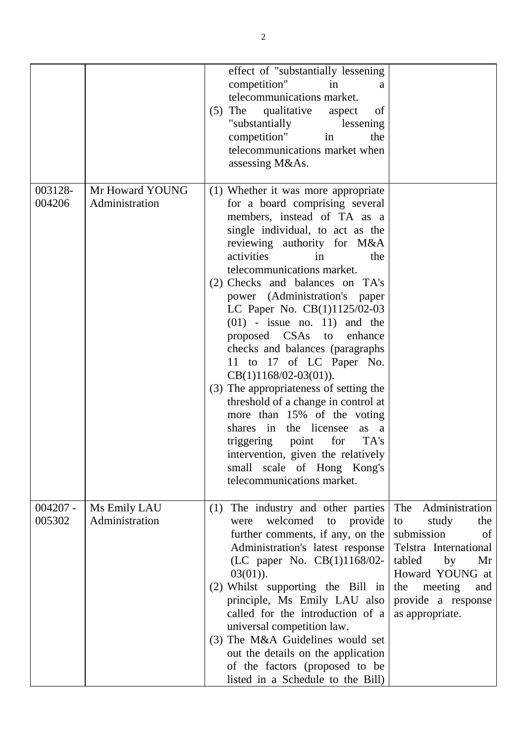|                      |                                   | effect of "substantially lessening<br>competition"<br>in<br>a<br>telecommunications market.<br>The qualitative<br>of<br>aspect<br>(5)<br>"substantially<br>lessening<br>competition"<br>the<br>in<br>telecommunications market when<br>assessing M&As.                                                                                                                                                                                                                                                                                                                                                                                                                                                                                                                                 |                                                                                                                                                                                                     |
|----------------------|-----------------------------------|----------------------------------------------------------------------------------------------------------------------------------------------------------------------------------------------------------------------------------------------------------------------------------------------------------------------------------------------------------------------------------------------------------------------------------------------------------------------------------------------------------------------------------------------------------------------------------------------------------------------------------------------------------------------------------------------------------------------------------------------------------------------------------------|-----------------------------------------------------------------------------------------------------------------------------------------------------------------------------------------------------|
| 003128-<br>004206    | Mr Howard YOUNG<br>Administration | (1) Whether it was more appropriate<br>for a board comprising several<br>members, instead of TA as a<br>single individual, to act as the<br>reviewing authority for M&A<br>activities<br>the<br>in<br>telecommunications market.<br>(2) Checks and balances on TA's<br>power (Administration's paper<br>LC Paper No. CB(1)1125/02-03<br>$(01)$ - issue no. 11) and the<br>proposed CSAs to<br>enhance<br>checks and balances (paragraphs<br>11 to 17 of LC Paper No.<br>$CB(1)1168/02-03(01)).$<br>(3) The appropriateness of setting the<br>threshold of a change in control at<br>more than 15% of the voting<br>shares in the licensee<br>as a<br>for<br>triggering point<br>TA's<br>intervention, given the relatively<br>small scale of Hong Kong's<br>telecommunications market. |                                                                                                                                                                                                     |
| $004207 -$<br>005302 | Ms Emily LAU<br>Administration    | The industry and other parties<br>(1)<br>welcomed<br>provide<br>to<br>were<br>further comments, if any, on the<br>Administration's latest response<br>(LC paper No. CB(1)1168/02-<br>$03(01)$ ).<br>(2) Whilst supporting the Bill in<br>principle, Ms Emily LAU also<br>called for the introduction of a<br>universal competition law.<br>(3) The M&A Guidelines would set<br>out the details on the application<br>of the factors (proposed to be<br>listed in a Schedule to the Bill)                                                                                                                                                                                                                                                                                               | Administration<br>The<br>study<br>the<br>to<br>submission<br>of<br>Telstra International<br>tabled<br>by<br>Mr<br>Howard YOUNG at<br>meeting<br>the<br>and<br>provide a response<br>as appropriate. |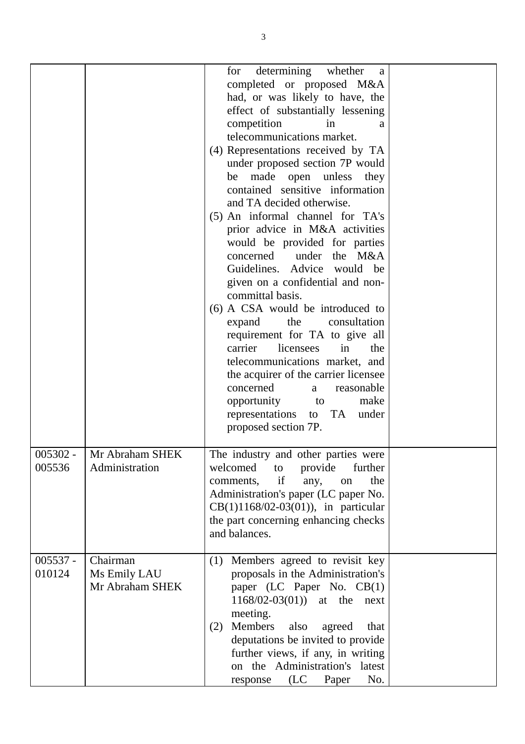|                      |                                              | determining whether<br>for<br>a<br>completed or proposed M&A<br>had, or was likely to have, the<br>effect of substantially lessening<br>competition<br>in<br>a<br>telecommunications market.<br>(4) Representations received by TA<br>under proposed section 7P would<br>be made open unless<br>they<br>contained sensitive information<br>and TA decided otherwise.<br>(5) An informal channel for TA's<br>prior advice in M&A activities<br>would be provided for parties<br>concerned under the M&A<br>Guidelines. Advice would be<br>given on a confidential and non-<br>committal basis.<br>(6) A CSA would be introduced to<br>the<br>consultation<br>expand<br>requirement for TA to give all<br>licensees<br>carrier<br>in<br>the<br>telecommunications market, and<br>the acquirer of the carrier licensee<br>concerned<br>reasonable<br>a<br>opportunity<br>make<br>to<br>representations to TA under<br>proposed section 7P. |  |
|----------------------|----------------------------------------------|-----------------------------------------------------------------------------------------------------------------------------------------------------------------------------------------------------------------------------------------------------------------------------------------------------------------------------------------------------------------------------------------------------------------------------------------------------------------------------------------------------------------------------------------------------------------------------------------------------------------------------------------------------------------------------------------------------------------------------------------------------------------------------------------------------------------------------------------------------------------------------------------------------------------------------------------|--|
| 005536               | 005302 -   Mr Abraham SHEK<br>Administration | The industry and other parties were<br>welcomed<br>provide<br>further<br>to<br>if<br>the<br>comments,<br>any,<br>on<br>Administration's paper (LC paper No.<br>$CB(1)1168/02-03(01)$ , in particular<br>the part concerning enhancing checks<br>and balances.                                                                                                                                                                                                                                                                                                                                                                                                                                                                                                                                                                                                                                                                           |  |
| $005537 -$<br>010124 | Chairman<br>Ms Emily LAU<br>Mr Abraham SHEK  | Members agreed to revisit key<br>(1)<br>proposals in the Administration's<br>paper (LC Paper No. CB(1)<br>$1168/02-03(01)$ at the next<br>meeting.<br>Members<br>also<br>(2)<br>agreed<br>that<br>deputations be invited to provide<br>further views, if any, in writing<br>on the Administration's latest<br>(LC)<br>No.<br>Paper<br>response                                                                                                                                                                                                                                                                                                                                                                                                                                                                                                                                                                                          |  |